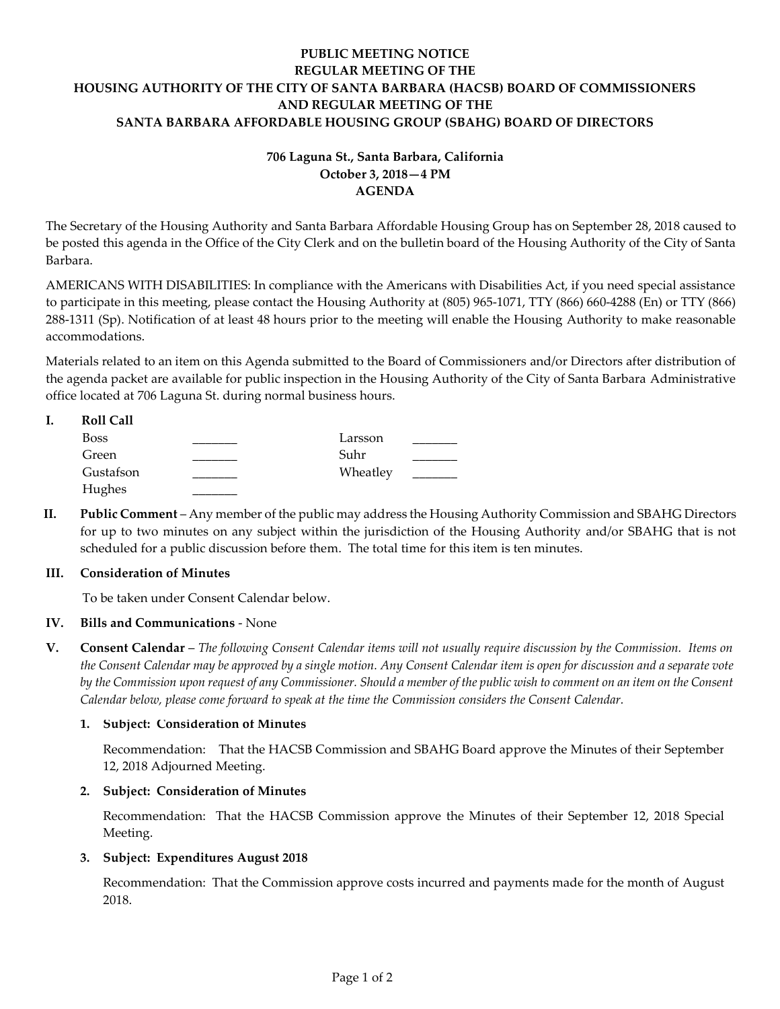## **PUBLIC MEETING NOTICE REGULAR MEETING OF THE HOUSING AUTHORITY OF THE CITY OF SANTA BARBARA (HACSB) BOARD OF COMMISSIONERS AND REGULAR MEETING OF THE SANTA BARBARA AFFORDABLE HOUSING GROUP (SBAHG) BOARD OF DIRECTORS**

# **706 Laguna St., Santa Barbara, California October 3, 2018—4 PM AGENDA**

The Secretary of the Housing Authority and Santa Barbara Affordable Housing Group has on September 28, 2018 caused to be posted this agenda in the Office of the City Clerk and on the bulletin board of the Housing Authority of the City of Santa Barbara.

AMERICANS WITH DISABILITIES: In compliance with the Americans with Disabilities Act, if you need special assistance to participate in this meeting, please contact the Housing Authority at (805) 965-1071, TTY (866) 660-4288 (En) or TTY (866) 288-1311 (Sp). Notification of at least 48 hours prior to the meeting will enable the Housing Authority to make reasonable accommodations.

Materials related to an item on this Agenda submitted to the Board of Commissioners and/or Directors after distribution of the agenda packet are available for public inspection in the Housing Authority of the City of Santa Barbara Administrative office located at 706 Laguna St. during normal business hours.

| <b>Roll Call</b> |          |  |
|------------------|----------|--|
| <b>Boss</b>      | Larsson  |  |
| Green            | Suhr     |  |
| Gustafson        | Wheatley |  |
| Hughes           |          |  |

**II. Public Comment** – Any member of the public may address the Housing Authority Commission and SBAHG Directors for up to two minutes on any subject within the jurisdiction of the Housing Authority and/or SBAHG that is not scheduled for a public discussion before them. The total time for this item is ten minutes.

## **III. Consideration of Minutes**

To be taken under Consent Calendar below.

## **IV. Bills and Communications** - None

**V. Consent Calendar** – *The following Consent Calendar items will not usually require discussion by the Commission. Items on the Consent Calendar may be approved by a single motion. Any Consent Calendar item is open for discussion and a separate vote by the Commission upon request of any Commissioner. Should a member of the public wish to comment on an item on the Consent Calendar below, please come forward to speak at the time the Commission considers the Consent Calendar.*

## **1. Subject: Consideration of Minutes**

[Recommendation: That the HACSB Commission and SBAHG Board approve the Minutes of their September](https://hacsb.org/download/meetings_2018/items/10_october/Item-V.1.pdf) 12, 2018 Adjourned Meeting.

## **2. Subject: Consideration of Minutes**

[Recommendation: That the HACSB Commission approve the Minutes of their September 12, 2018 Special](https://hacsb.org/download/meetings_2018/items/10_october/Item-V.2.pdf)  Meeting.

## **3. Subject: Expenditures August 2018**

[Recommendation: That the Commission approve costs incurred and payments made for the month of August](https://hacsb.org/download/meetings_2018/items/10_october/Item-V.3.pdf) 2018.